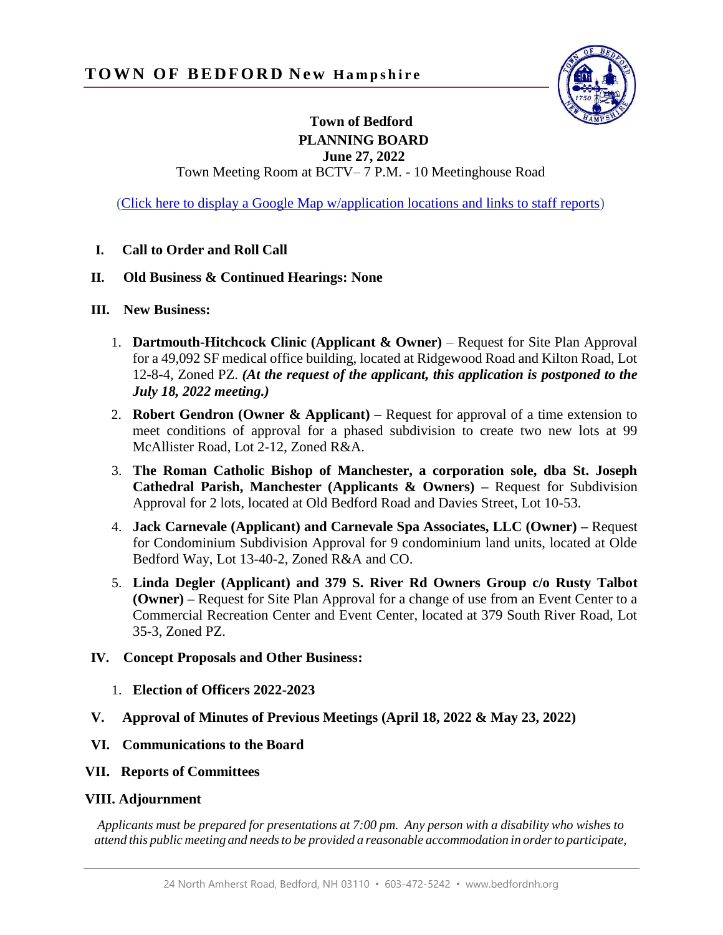

## **Town of Bedford PLANNING BOARD**

**June 27, 2022**

Town Meeting Room at BCTV– 7 P.M. - 10 Meetinghouse Road

[\(Click here to display a Google Map w/application locations and links to staff reports\)](https://www.google.com/maps/d/edit?hl=en&mid=14xxox-tFRdlupO37Kt6u87uaukifJVE9&ll=42.960344070555166%2C-71.51138891415557&z=17)

**I. Call to Order and Roll Call**

## **II. Old Business & Continued Hearings: None**

- **III. New Business:**
	- 1. **Dartmouth-Hitchcock Clinic (Applicant & Owner)**  Request for Site Plan Approval for a 49,092 SF medical office building, located at Ridgewood Road and Kilton Road, Lot 12-8-4, Zoned PZ. *(At the request of the applicant, this application is postponed to the July 18, 2022 meeting.)*
	- 2. **Robert Gendron (Owner & Applicant)** Request for approval of a time extension to meet conditions of approval for a phased subdivision to create two new lots at 99 McAllister Road, Lot 2-12, Zoned R&A.
	- 3. **The Roman Catholic Bishop of Manchester, a corporation sole, dba St. Joseph Cathedral Parish, Manchester (Applicants & Owners) –** Request for Subdivision Approval for 2 lots, located at Old Bedford Road and Davies Street, Lot 10-53.
	- 4. **Jack Carnevale (Applicant) and Carnevale Spa Associates, LLC (Owner) –** Request for Condominium Subdivision Approval for 9 condominium land units, located at Olde Bedford Way, Lot 13-40-2, Zoned R&A and CO.
	- 5. **Linda Degler (Applicant) and 379 S. River Rd Owners Group c/o Rusty Talbot (Owner) –** Request for Site Plan Approval for a change of use from an Event Center to a Commercial Recreation Center and Event Center, located at 379 South River Road, Lot 35-3, Zoned PZ.

## **IV. Concept Proposals and Other Business:**

- 1. **Election of Officers 2022-2023**
- **V. Approval of Minutes of Previous Meetings (April 18, 2022 & May 23, 2022)**
- **VI. Communications to the Board**
- **VII. Reports of Committees**

## **VIII. Adjournment**

*Applicants must be prepared for presentations at 7:00 pm. Any person with a disability who wishes to attend this public meeting and needsto be provided a reasonable accommodation in orderto participate,*